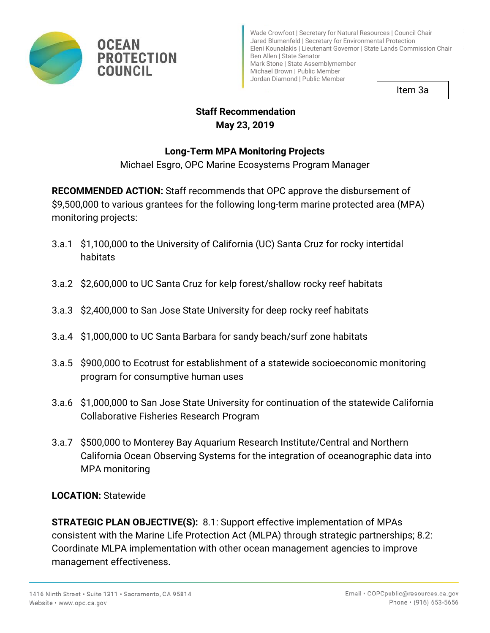

Item 3a

# **Staff Recommendation May 23, 2019**

# **Long-Term MPA Monitoring Projects**

Michael Esgro, OPC Marine Ecosystems Program Manager

**RECOMMENDED ACTION:** Staff recommends that OPC approve the disbursement of \$9,500,000 to various grantees for the following long-term marine protected area (MPA) monitoring projects:

- 3.a.1 \$1,100,000 to the University of California (UC) Santa Cruz for rocky intertidal habitats
- 3.a.2 \$2,600,000 to UC Santa Cruz for kelp forest/shallow rocky reef habitats
- 3.a.3 \$2,400,000 to San Jose State University for deep rocky reef habitats
- 3.a.4 \$1,000,000 to UC Santa Barbara for sandy beach/surf zone habitats
- 3.a.5 \$900,000 to Ecotrust for establishment of a statewide socioeconomic monitoring program for consumptive human uses
- 3.a.6 \$1,000,000 to San Jose State University for continuation of the statewide California Collaborative Fisheries Research Program
- California Ocean Observing Systems for the integration of oceanographic data into 3.a.7 \$500,000 to Monterey Bay Aquarium Research Institute/Central and Northern MPA monitoring

# **LOCATION:** Statewide

**STRATEGIC PLAN OBJECTIVE(S):** 8.1: Support effective implementation of MPAs consistent with the Marine Life Protection Act (MLPA) through strategic partnerships; 8.2: Coordinate MLPA implementation with other ocean management agencies to improve management effectiveness.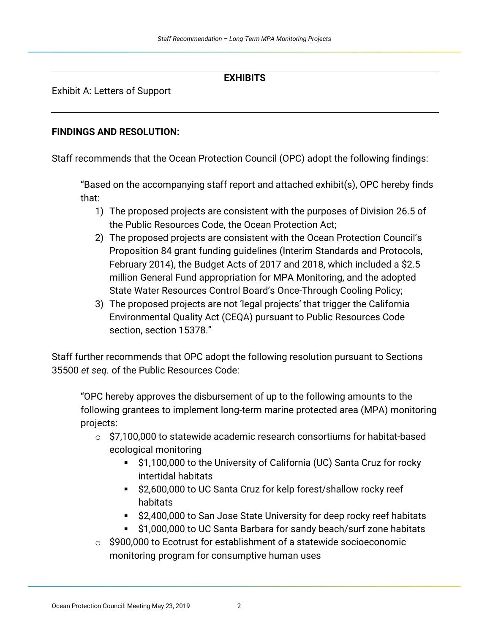#### **EXHIBITS**

Exhibit A: Letters of Support

#### **FINDINGS AND RESOLUTION:**

Staff recommends that the Ocean Protection Council (OPC) adopt the following findings:

"Based on the accompanying staff report and attached exhibit(s), OPC hereby finds that:

- 1) The proposed projects are consistent with the purposes of Division 26.5 of the Public Resources Code, the Ocean Protection Act;
- 2) The proposed projects are consistent with the Ocean Protection Council's Proposition 84 grant funding guidelines (Interim Standards and Protocols, February 2014), the Budget Acts of 2017 and 2018, which included a \$2.5 million General Fund appropriation for MPA Monitoring, and the adopted State Water Resources Control Board's Once-Through Cooling Policy;
- 3) The proposed projects are not 'legal projects' that trigger the California Environmental Quality Act (CEQA) pursuant to Public Resources Code section, section 15378."

Staff further recommends that OPC adopt the following resolution pursuant to Sections 35500 *et seq.* of the Public Resources Code:

 following grantees to implement long-term marine protected area (MPA) monitoring "OPC hereby approves the disbursement of up to the following amounts to the projects:

- $\circ$  \$7,100,000 to statewide academic research consortiums for habitat-based ecological monitoring
	- \$1,100,000 to the University of California (UC) Santa Cruz for rocky intertidal habitats
	- \$2,600,000 to UC Santa Cruz for kelp forest/shallow rocky reef habitats
	- \$2,400,000 to San Jose State University for deep rocky reef habitats
	- \$1,000,000 to UC Santa Barbara for sandy beach/surf zone habitats
- o \$900,000 to Ecotrust for establishment of a statewide socioeconomic monitoring program for consumptive human uses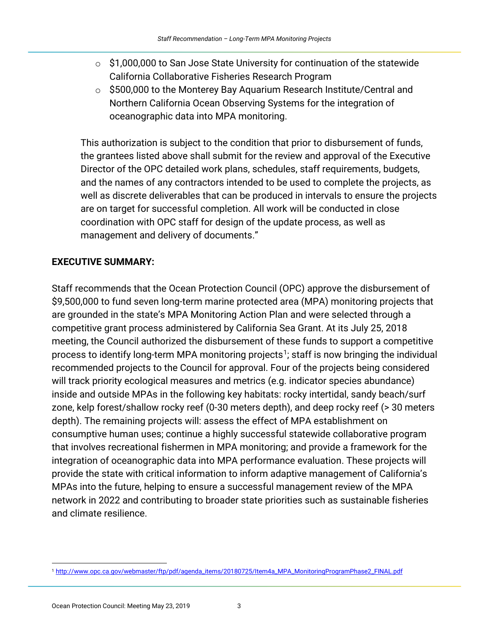- $\circ$  \$1,000,000 to San Jose State University for continuation of the statewide California Collaborative Fisheries Research Program
- $\circ$  \$500,000 to the Monterey Bay Aquarium Research Institute/Central and Northern California Ocean Observing Systems for the integration of oceanographic data into MPA monitoring.

This authorization is subject to the condition that prior to disbursement of funds, the grantees listed above shall submit for the review and approval of the Executive Director of the OPC detailed work plans, schedules, staff requirements, budgets, and the names of any contractors intended to be used to complete the projects, as well as discrete deliverables that can be produced in intervals to ensure the projects are on target for successful completion. All work will be conducted in close coordination with OPC staff for design of the update process, as well as management and delivery of documents."

# **EXECUTIVE SUMMARY:**

Staff recommends that the Ocean Protection Council (OPC) approve the disbursement of \$9,500,000 to fund seven long-term marine protected area (MPA) monitoring projects that are grounded in the state's MPA Monitoring Action Plan and were selected through a competitive grant process administered by California Sea Grant. At its July 25, 2018 meeting, the Council authorized the disbursement of these funds to support a competitive process to identify long-term MPA monitoring projects<sup>1</sup>; staff is now bringing the individual recommended projects to the Council for approval. Four of the projects being considered will track priority ecological measures and metrics (e.g. indicator species abundance) inside and outside MPAs in the following key habitats: rocky intertidal, sandy beach/surf zone, kelp forest/shallow rocky reef (0-30 meters depth), and deep rocky reef (> 30 meters depth). The remaining projects will: assess the effect of MPA establishment on consumptive human uses; continue a highly successful statewide collaborative program that involves recreational fishermen in MPA monitoring; and provide a framework for the integration of oceanographic data into MPA performance evaluation. These projects will provide the state with critical information to inform adaptive management of California's MPAs into the future, helping to ensure a successful management review of the MPA network in 2022 and contributing to broader state priorities such as sustainable fisheries and climate resilience.

<span id="page-2-0"></span> $\overline{a}$ [1 http://www.opc.ca.gov/webmaster/ftp/pdf/agenda\\_items/20180725/Item4a\\_MPA\\_MonitoringProgramPhase2\\_FINAL.pdf](http://www.opc.ca.gov/webmaster/ftp/pdf/agenda_items/20180725/Item4a_MPA_MonitoringProgramPhase2_FINAL.pdf)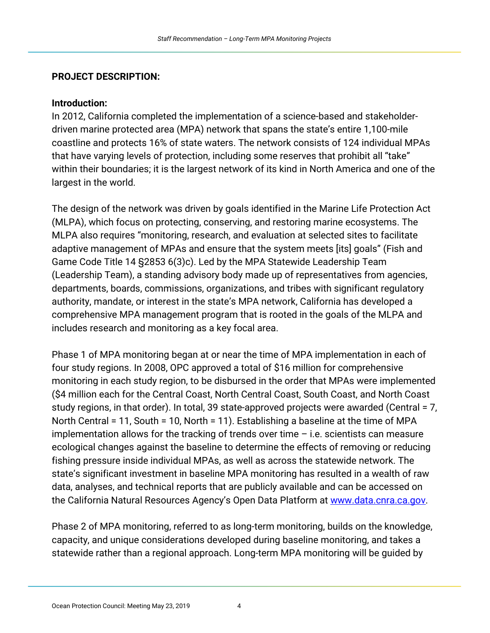#### **PROJECT DESCRIPTION:**

#### **Introduction:**

 driven marine protected area (MPA) network that spans the state's entire 1,100-mile In 2012, California completed the implementation of a science-based and stakeholdercoastline and protects 16% of state waters. The network consists of 124 individual MPAs that have varying levels of protection, including some reserves that prohibit all "take" within their boundaries; it is the largest network of its kind in North America and one of the largest in the world.

 authority, mandate, or interest in the state's MPA network, California has developed a The design of the network was driven by goals identified in the Marine Life Protection Act (MLPA), which focus on protecting, conserving, and restoring marine ecosystems. The MLPA also requires "monitoring, research, and evaluation at selected sites to facilitate adaptive management of MPAs and ensure that the system meets [its] goals" (Fish and Game Code Title 14 §2853 6(3)c). Led by the MPA Statewide Leadership Team (Leadership Team), a standing advisory body made up of representatives from agencies, departments, boards, commissions, organizations, and tribes with significant regulatory comprehensive MPA management program that is rooted in the goals of the MLPA and includes research and monitoring as a key focal area.

Phase 1 of MPA monitoring began at or near the time of MPA implementation in each of four study regions. In 2008, OPC approved a total of \$16 million for comprehensive monitoring in each study region, to be disbursed in the order that MPAs were implemented (\$4 million each for the Central Coast, North Central Coast, South Coast, and North Coast study regions, in that order). In total, 39 state-approved projects were awarded (Central = 7, North Central = 11, South = 10, North = 11). Establishing a baseline at the time of MPA implementation allows for the tracking of trends over time – i.e. scientists can measure ecological changes against the baseline to determine the effects of removing or reducing fishing pressure inside individual MPAs, as well as across the statewide network. The state's significant investment in baseline MPA monitoring has resulted in a wealth of raw data, analyses, and technical reports that are publicly available and can be accessed on the California Natural Resources Agency's Open Data Platform at [www.data.cnra.ca.gov.](http://www.data.cnra.ca.gov)

 capacity, and unique considerations developed during baseline monitoring, and takes a Phase 2 of MPA monitoring, referred to as long-term monitoring, builds on the knowledge, statewide rather than a regional approach. Long-term MPA monitoring will be guided by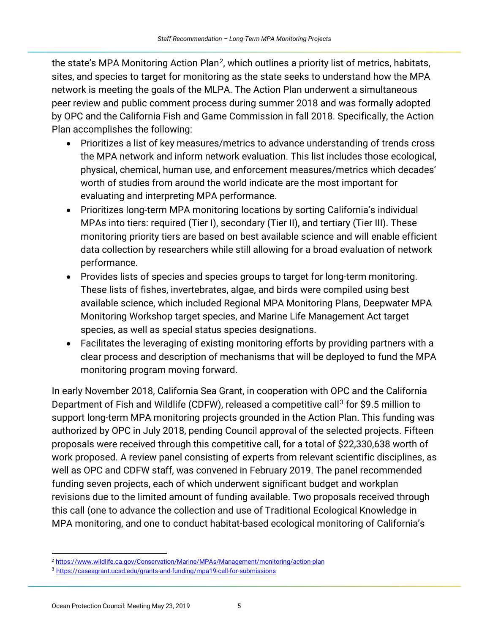the state's MPA Monitoring Action Plan<sup>[2](#page-4-0)</sup>, which outlines a priority list of metrics, habitats, sites, and species to target for monitoring as the state seeks to understand how the MPA network is meeting the goals of the MLPA. The Action Plan underwent a simultaneous peer review and public comment process during summer 2018 and was formally adopted by OPC and the California Fish and Game Commission in fall 2018. Specifically, the Action Plan accomplishes the following:

- Prioritizes a list of key measures/metrics to advance understanding of trends cross the MPA network and inform network evaluation. This list includes those ecological, physical, chemical, human use, and enforcement measures/metrics which decades' worth of studies from around the world indicate are the most important for evaluating and interpreting MPA performance.
- Prioritizes long-term MPA monitoring locations by sorting California's individual MPAs into tiers: required (Tier I), secondary (Tier II), and tertiary (Tier III). These monitoring priority tiers are based on best available science and will enable efficient data collection by researchers while still allowing for a broad evaluation of network performance.
- species, as well as special status species designations. • Provides lists of species and species groups to target for long-term monitoring. These lists of fishes, invertebrates, algae, and birds were compiled using best available science, which included Regional MPA Monitoring Plans, Deepwater MPA Monitoring Workshop target species, and Marine Life Management Act target
- Facilitates the leveraging of existing monitoring efforts by providing partners with a clear process and description of mechanisms that will be deployed to fund the MPA monitoring program moving forward.

In early November 2018, California Sea Grant, in cooperation with OPC and the California Department of Fish and Wildlife (CDFW), released a competitive call<sup>[3](#page-4-1)</sup> for \$9.5 million to support long-term MPA monitoring projects grounded in the Action Plan. This funding was authorized by OPC in July 2018, pending Council approval of the selected projects. Fifteen proposals were received through this competitive call, for a total of \$22,330,638 worth of work proposed. A review panel consisting of experts from relevant scientific disciplines, as well as OPC and CDFW staff, was convened in February 2019. The panel recommended funding seven projects, each of which underwent significant budget and workplan revisions due to the limited amount of funding available. Two proposals received through this call (one to advance the collection and use of Traditional Ecological Knowledge in MPA monitoring, and one to conduct habitat-based ecological monitoring of California's

<span id="page-4-0"></span>l [2 https://www.wildlife.ca.gov/Conservation/Marine/MPAs/Management/monitoring/action-plan](https://www.wildlife.ca.gov/Conservation/Marine/MPAs/Management/monitoring/action-plan) 

<span id="page-4-1"></span><sup>&</sup>lt;sup>3</sup> https://caseagrant.ucsd.edu/grants-and-funding/mpa19-call-for-submissions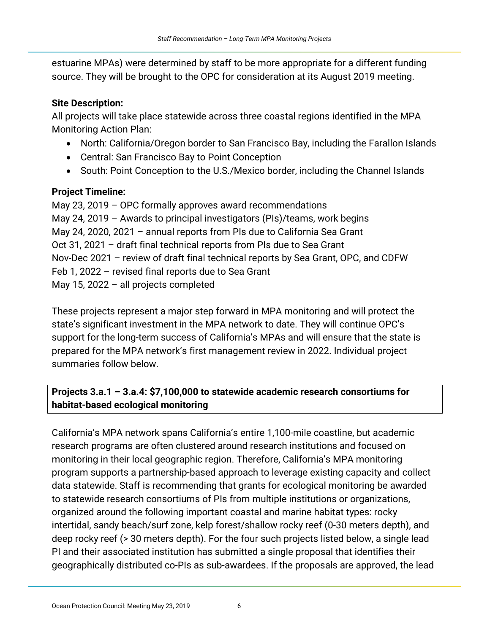source. They will be brought to the OPC for consideration at its August 2019 meeting. estuarine MPAs) were determined by staff to be more appropriate for a different funding

### **Site Description:**

All projects will take place statewide across three coastal regions identified in the MPA Monitoring Action Plan:

- North: California/Oregon border to San Francisco Bay, including the Farallon Islands
- Central: San Francisco Bay to Point Conception
- South: Point Conception to the U.S./Mexico border, including the Channel Islands

## **Project Timeline:**

 May 23, 2019 – OPC formally approves award recommendations May 24, 2019 – Awards to principal investigators (PIs)/teams, work begins Oct 31, 2021 – draft final technical reports from PIs due to Sea Grant Nov-Dec 2021 – review of draft final technical reports by Sea Grant, OPC, and CDFW May 24, 2020, 2021 – annual reports from PIs due to California Sea Grant Feb 1, 2022 – revised final reports due to Sea Grant May 15, 2022 – all projects completed

 support for the long-term success of California's MPAs and will ensure that the state is These projects represent a major step forward in MPA monitoring and will protect the state's significant investment in the MPA network to date. They will continue OPC's prepared for the MPA network's first management review in 2022. Individual project summaries follow below.

# **Projects 3.a.1 – 3.a.4: \$7,100,000 to statewide academic research consortiums for habitat-based ecological monitoring**

 program supports a partnership-based approach to leverage existing capacity and collect deep rocky reef (> 30 meters depth). For the four such projects listed below, a single lead California's MPA network spans California's entire 1,100-mile coastline, but academic research programs are often clustered around research institutions and focused on monitoring in their local geographic region. Therefore, California's MPA monitoring data statewide. Staff is recommending that grants for ecological monitoring be awarded to statewide research consortiums of PIs from multiple institutions or organizations, organized around the following important coastal and marine habitat types: rocky intertidal, sandy beach/surf zone, kelp forest/shallow rocky reef (0-30 meters depth), and PI and their associated institution has submitted a single proposal that identifies their geographically distributed co-PIs as sub-awardees. If the proposals are approved, the lead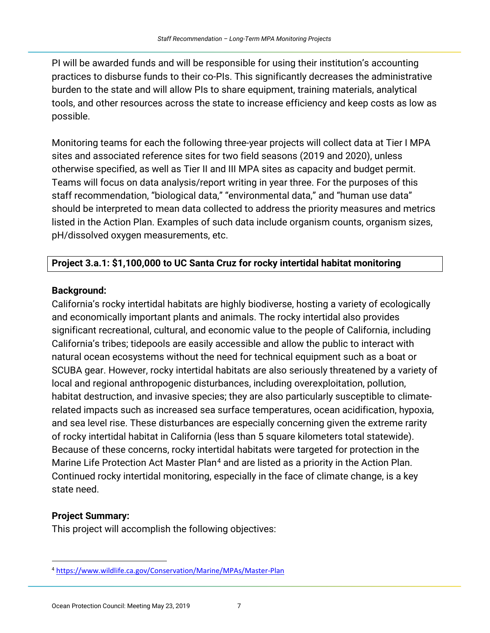tools, and other resources across the state to increase efficiency and keep costs as low as PI will be awarded funds and will be responsible for using their institution's accounting practices to disburse funds to their co-PIs. This significantly decreases the administrative burden to the state and will allow PIs to share equipment, training materials, analytical possible.

 listed in the Action Plan. Examples of such data include organism counts, organism sizes, Monitoring teams for each the following three-year projects will collect data at Tier I MPA sites and associated reference sites for two field seasons (2019 and 2020), unless otherwise specified, as well as Tier II and III MPA sites as capacity and budget permit. Teams will focus on data analysis/report writing in year three. For the purposes of this staff recommendation, "biological data," "environmental data," and "human use data" should be interpreted to mean data collected to address the priority measures and metrics pH/dissolved oxygen measurements, etc.

### **Project 3.a.1: \$1,100,000 to UC Santa Cruz for rocky intertidal habitat monitoring**

### **Background:**

California's rocky intertidal habitats are highly biodiverse, hosting a variety of ecologically and economically important plants and animals. The rocky intertidal also provides significant recreational, cultural, and economic value to the people of California, including California's tribes; tidepools are easily accessible and allow the public to interact with natural ocean ecosystems without the need for technical equipment such as a boat or SCUBA gear. However, rocky intertidal habitats are also seriously threatened by a variety of local and regional anthropogenic disturbances, including overexploitation, pollution, habitat destruction, and invasive species; they are also particularly susceptible to climaterelated impacts such as increased sea surface temperatures, ocean acidification, hypoxia, and sea level rise. These disturbances are especially concerning given the extreme rarity of rocky intertidal habitat in California (less than 5 square kilometers total statewide). Because of these concerns, rocky intertidal habitats were targeted for protection in the Marine Life Protection Act Master Plan<sup>[4](#page-6-0)</sup> and are listed as a priority in the Action Plan. Continued rocky intertidal monitoring, especially in the face of climate change, is a key state need.

### **Project Summary:**

 $\overline{a}$ 

This project will accomplish the following objectives:

<span id="page-6-0"></span>[<sup>4</sup> https://www.wildlife.ca.gov/Conservation/Marine/MPAs/Master-Plan](https://www.wildlife.ca.gov/Conservation/Marine/MPAs/Master-Plan)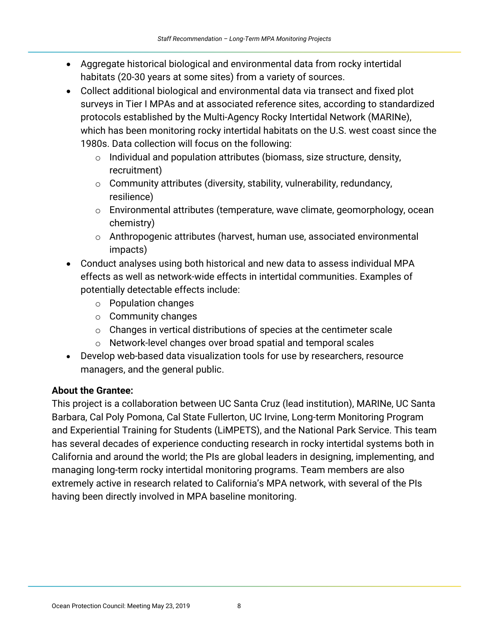- • Aggregate historical biological and environmental data from rocky intertidal habitats (20-30 years at some sites) from a variety of sources.
- 1980s. Data collection will focus on the following: • Collect additional biological and environmental data via transect and fixed plot surveys in Tier I MPAs and at associated reference sites, according to standardized protocols established by the Multi-Agency Rocky Intertidal Network (MARINe), which has been monitoring rocky intertidal habitats on the U.S. west coast since the
	- $\circ$  Individual and population attributes (biomass, size structure, density, recruitment)
	- $\circ$  Community attributes (diversity, stability, vulnerability, redundancy, resilience)
	- $\circ$  Environmental attributes (temperature, wave climate, geomorphology, ocean chemistry)
	- $\circ$  Anthropogenic attributes (harvest, human use, associated environmental impacts)
- Conduct analyses using both historical and new data to assess individual MPA effects as well as network-wide effects in intertidal communities. Examples of potentially detectable effects include:
	- $\circ$  Population changes
	- o Community changes
	- $\circ$  Changes in vertical distributions of species at the centimeter scale
	- $\circ$  Network-level changes over broad spatial and temporal scales
- Develop web-based data visualization tools for use by researchers, resource managers, and the general public.

#### **About the Grantee:**

 This project is a collaboration between UC Santa Cruz (lead institution), MARINe, UC Santa Barbara, Cal Poly Pomona, Cal State Fullerton, UC Irvine, Long-term Monitoring Program and Experiential Training for Students (LiMPETS), and the National Park Service. This team has several decades of experience conducting research in rocky intertidal systems both in California and around the world; the PIs are global leaders in designing, implementing, and managing long-term rocky intertidal monitoring programs. Team members are also extremely active in research related to California's MPA network, with several of the PIs having been directly involved in MPA baseline monitoring.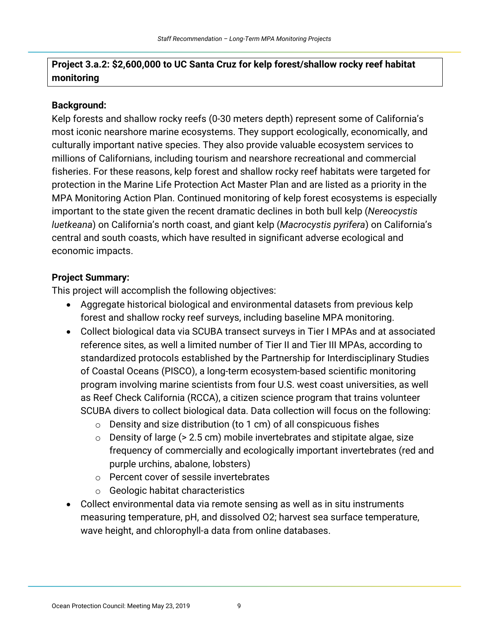## **Project 3.a.2: \$2,600,000 to UC Santa Cruz for kelp forest/shallow rocky reef habitat monitoring**

#### **Background:**

Kelp forests and shallow rocky reefs (0-30 meters depth) represent some of California's most iconic nearshore marine ecosystems. They support ecologically, economically, and culturally important native species. They also provide valuable ecosystem services to millions of Californians, including tourism and nearshore recreational and commercial fisheries. For these reasons, kelp forest and shallow rocky reef habitats were targeted for protection in the Marine Life Protection Act Master Plan and are listed as a priority in the MPA Monitoring Action Plan. Continued monitoring of kelp forest ecosystems is especially important to the state given the recent dramatic declines in both bull kelp (*Nereocystis luetkeana*) on California's north coast, and giant kelp (*Macrocystis pyrifera*) on California's central and south coasts, which have resulted in significant adverse ecological and economic impacts.

#### **Project Summary:**

This project will accomplish the following objectives:

- Aggregate historical biological and environmental datasets from previous kelp forest and shallow rocky reef surveys, including baseline MPA monitoring.
- Collect biological data via SCUBA transect surveys in Tier I MPAs and at associated standardized protocols established by the Partnership for Interdisciplinary Studies program involving marine scientists from four U.S. west coast universities, as well reference sites, as well a limited number of Tier II and Tier III MPAs, according to of Coastal Oceans (PISCO), a long-term ecosystem-based scientific monitoring as Reef Check California (RCCA), a citizen science program that trains volunteer SCUBA divers to collect biological data. Data collection will focus on the following:
	- $\circ$  Density and size distribution (to 1 cm) of all conspicuous fishes
	- $\circ$  Density of large (> 2.5 cm) mobile invertebrates and stipitate algae, size frequency of commercially and ecologically important invertebrates (red and purple urchins, abalone, lobsters)
	- o Percent cover of sessile invertebrates
	- $\circ$  Geologic habitat characteristics
- Collect environmental data via remote sensing as well as in situ instruments measuring temperature, pH, and dissolved O2; harvest sea surface temperature, wave height, and chlorophyll-a data from online databases.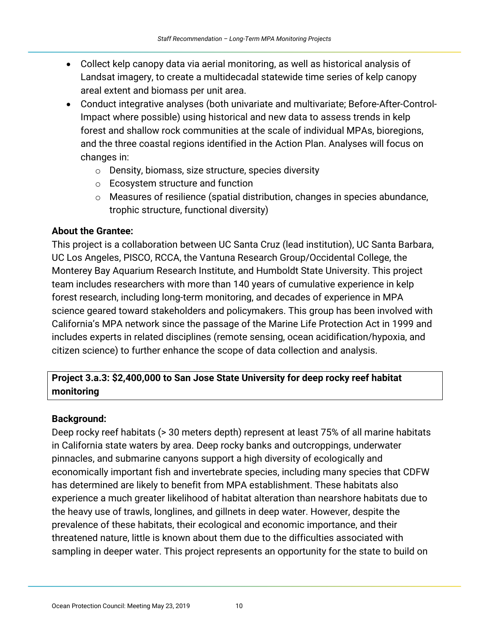- Landsat imagery, to create a multidecadal statewide time series of kelp canopy • Collect kelp canopy data via aerial monitoring, as well as historical analysis of areal extent and biomass per unit area.
- Conduct integrative analyses (both univariate and multivariate; Before-After-Control- Impact where possible) using historical and new data to assess trends in kelp forest and shallow rock communities at the scale of individual MPAs, bioregions, and the three coastal regions identified in the Action Plan. Analyses will focus on changes in:
	- o Density, biomass, size structure, species diversity
	- $\circ$  Ecosystem structure and function
	- o Measures of resilience (spatial distribution, changes in species abundance, trophic structure, functional diversity)

#### **About the Grantee:**

 UC Los Angeles, PISCO, RCCA, the Vantuna Research Group/Occidental College, the This project is a collaboration between UC Santa Cruz (lead institution), UC Santa Barbara, Monterey Bay Aquarium Research Institute, and Humboldt State University. This project team includes researchers with more than 140 years of cumulative experience in kelp forest research, including long-term monitoring, and decades of experience in MPA science geared toward stakeholders and policymakers. This group has been involved with California's MPA network since the passage of the Marine Life Protection Act in 1999 and includes experts in related disciplines (remote sensing, ocean acidification/hypoxia, and citizen science) to further enhance the scope of data collection and analysis.

# **Project 3.a.3: \$2,400,000 to San Jose State University for deep rocky reef habitat monitoring**

#### **Background:**

 economically important fish and invertebrate species, including many species that CDFW has determined are likely to benefit from MPA establishment. These habitats also Deep rocky reef habitats (> 30 meters depth) represent at least 75% of all marine habitats in California state waters by area. Deep rocky banks and outcroppings, underwater pinnacles, and submarine canyons support a high diversity of ecologically and experience a much greater likelihood of habitat alteration than nearshore habitats due to the heavy use of trawls, longlines, and gillnets in deep water. However, despite the prevalence of these habitats, their ecological and economic importance, and their threatened nature, little is known about them due to the difficulties associated with sampling in deeper water. This project represents an opportunity for the state to build on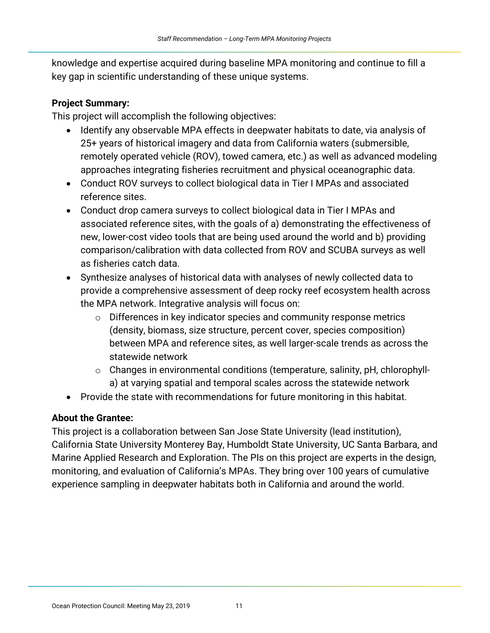knowledge and expertise acquired during baseline MPA monitoring and continue to fill a key gap in scientific understanding of these unique systems.

#### **Project Summary:**

This project will accomplish the following objectives:

- Identify any observable MPA effects in deepwater habitats to date, via analysis of 25+ years of historical imagery and data from California waters (submersible, remotely operated vehicle (ROV), towed camera, etc.) as well as advanced modeling approaches integrating fisheries recruitment and physical oceanographic data.
- Conduct ROV surveys to collect biological data in Tier I MPAs and associated reference sites.
- Conduct drop camera surveys to collect biological data in Tier I MPAs and associated reference sites, with the goals of a) demonstrating the effectiveness of new, lower-cost video tools that are being used around the world and b) providing comparison/calibration with data collected from ROV and SCUBA surveys as well as fisheries catch data.
- provide a comprehensive assessment of deep rocky reef ecosystem health across • Synthesize analyses of historical data with analyses of newly collected data to the MPA network. Integrative analysis will focus on:
	- o Differences in key indicator species and community response metrics (density, biomass, size structure, percent cover, species composition) between MPA and reference sites, as well larger-scale trends as across the statewide network
	- o Changes in environmental conditions (temperature, salinity, pH, chlorophylla) at varying spatial and temporal scales across the statewide network
- • Provide the state with recommendations for future monitoring in this habitat.

#### **About the Grantee:**

This project is a collaboration between San Jose State University (lead institution), California State University Monterey Bay, Humboldt State University, UC Santa Barbara, and Marine Applied Research and Exploration. The PIs on this project are experts in the design, monitoring, and evaluation of California's MPAs. They bring over 100 years of cumulative experience sampling in deepwater habitats both in California and around the world.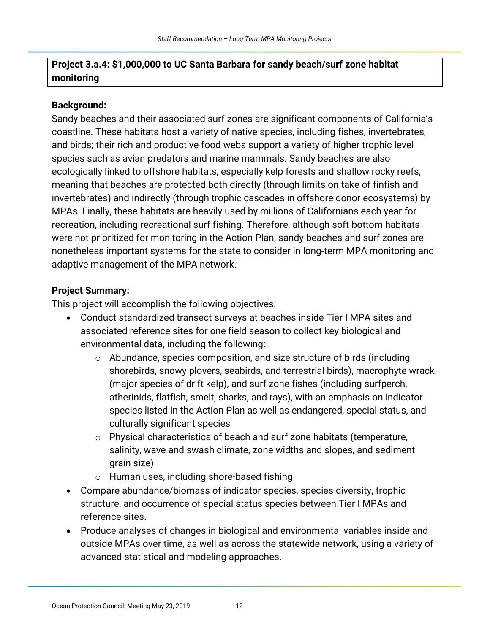## **Project 3.a.4: \$1,000,000 to UC Santa Barbara for sandy beach/surf zone habitat monitoring**

### **Background:**

 nonetheless important systems for the state to consider in long-term MPA monitoring and Sandy beaches and their associated surf zones are significant components of California's coastline. These habitats host a variety of native species, including fishes, invertebrates, and birds; their rich and productive food webs support a variety of higher trophic level species such as avian predators and marine mammals. Sandy beaches are also ecologically linked to offshore habitats, especially kelp forests and shallow rocky reefs, meaning that beaches are protected both directly (through limits on take of finfish and invertebrates) and indirectly (through trophic cascades in offshore donor ecosystems) by MPAs. Finally, these habitats are heavily used by millions of Californians each year for recreation, including recreational surf fishing. Therefore, although soft-bottom habitats were not prioritized for monitoring in the Action Plan, sandy beaches and surf zones are adaptive management of the MPA network.

### **Project Summary:**

This project will accomplish the following objectives:

- Conduct standardized transect surveys at beaches inside Tier I MPA sites and associated reference sites for one field season to collect key biological and environmental data, including the following:
	- $\circ$  Abundance, species composition, and size structure of birds (including (major species of drift kelp), and surf zone fishes (including surfperch, shorebirds, snowy plovers, seabirds, and terrestrial birds), macrophyte wrack atherinids, flatfish, smelt, sharks, and rays), with an emphasis on indicator species listed in the Action Plan as well as endangered, special status, and culturally significant species
	- salinity, wave and swash climate, zone widths and slopes, and sediment  $\circ$  Physical characteristics of beach and surf zone habitats (temperature, grain size)
	- o Human uses, including shore-based fishing
- Compare abundance/biomass of indicator species, species diversity, trophic structure, and occurrence of special status species between Tier I MPAs and reference sites.
- Produce analyses of changes in biological and environmental variables inside and outside MPAs over time, as well as across the statewide network, using a variety of advanced statistical and modeling approaches.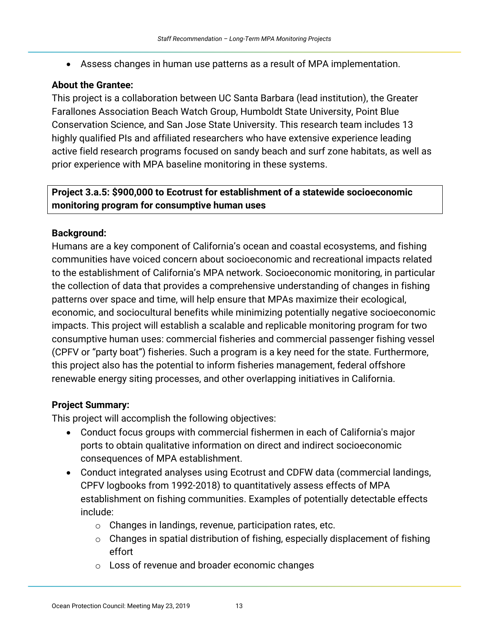• Assess changes in human use patterns as a result of MPA implementation.

### **About the Grantee:**

This project is a collaboration between UC Santa Barbara (lead institution), the Greater Farallones Association Beach Watch Group, Humboldt State University, Point Blue Conservation Science, and San Jose State University. This research team includes 13 highly qualified PIs and affiliated researchers who have extensive experience leading active field research programs focused on sandy beach and surf zone habitats, as well as prior experience with MPA baseline monitoring in these systems.

### **Project 3.a.5: \$900,000 to Ecotrust for establishment of a statewide socioeconomic monitoring program for consumptive human uses**

### **Background:**

 impacts. This project will establish a scalable and replicable monitoring program for two Humans are a key component of California's ocean and coastal ecosystems, and fishing communities have voiced concern about socioeconomic and recreational impacts related to the establishment of California's MPA network. Socioeconomic monitoring, in particular the collection of data that provides a comprehensive understanding of changes in fishing patterns over space and time, will help ensure that MPAs maximize their ecological, economic, and sociocultural benefits while minimizing potentially negative socioeconomic consumptive human uses: commercial fisheries and commercial passenger fishing vessel (CPFV or "party boat") fisheries. Such a program is a key need for the state. Furthermore, this project also has the potential to inform fisheries management, federal offshore renewable energy siting processes, and other overlapping initiatives in California.

### **Project Summary:**

This project will accomplish the following objectives:

- Conduct focus groups with commercial fishermen in each of California's major ports to obtain qualitative information on direct and indirect socioeconomic consequences of MPA establishment.
- CPFV logbooks from 1992-2018) to quantitatively assess effects of MPA establishment on fishing communities. Examples of potentially detectable effects • Conduct integrated analyses using Ecotrust and CDFW data (commercial landings, include:
	- $\circ$  Changes in landings, revenue, participation rates, etc.
	- $\circ$  Changes in spatial distribution of fishing, especially displacement of fishing effort
	- $\circ$  Loss of revenue and broader economic changes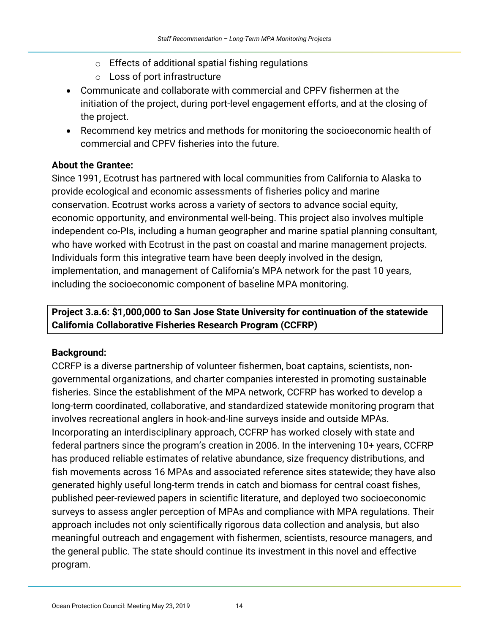- $\circ$  Effects of additional spatial fishing regulations
- $\circ$  Loss of port infrastructure
- • Communicate and collaborate with commercial and CPFV fishermen at the initiation of the project, during port-level engagement efforts, and at the closing of the project.
- Recommend key metrics and methods for monitoring the socioeconomic health of commercial and CPFV fisheries into the future.

#### **About the Grantee:**

Since 1991, Ecotrust has partnered with local communities from California to Alaska to provide ecological and economic assessments of fisheries policy and marine conservation. Ecotrust works across a variety of sectors to advance social equity, economic opportunity, and environmental well-being. This project also involves multiple independent co-PIs, including a human geographer and marine spatial planning consultant, who have worked with Ecotrust in the past on coastal and marine management projects. Individuals form this integrative team have been deeply involved in the design, implementation, and management of California's MPA network for the past 10 years, including the socioeconomic component of baseline MPA monitoring.

## **California Collaborative Fisheries Research Program (CCFRP) Project 3.a.6: \$1,000,000 to San Jose State University for continuation of the statewide**

### **Background:**

CCRFP is a diverse partnership of volunteer fishermen, boat captains, scientists, nongovernmental organizations, and charter companies interested in promoting sustainable fisheries. Since the establishment of the MPA network, CCFRP has worked to develop a long-term coordinated, collaborative, and standardized statewide monitoring program that involves recreational anglers in hook-and-line surveys inside and outside MPAs. Incorporating an interdisciplinary approach, CCFRP has worked closely with state and federal partners since the program's creation in 2006. In the intervening 10+ years, CCFRP has produced reliable estimates of relative abundance, size frequency distributions, and fish movements across 16 MPAs and associated reference sites statewide; they have also generated highly useful long-term trends in catch and biomass for central coast fishes, published peer-reviewed papers in scientific literature, and deployed two socioeconomic surveys to assess angler perception of MPAs and compliance with MPA regulations. Their approach includes not only scientifically rigorous data collection and analysis, but also meaningful outreach and engagement with fishermen, scientists, resource managers, and the general public. The state should continue its investment in this novel and effective program.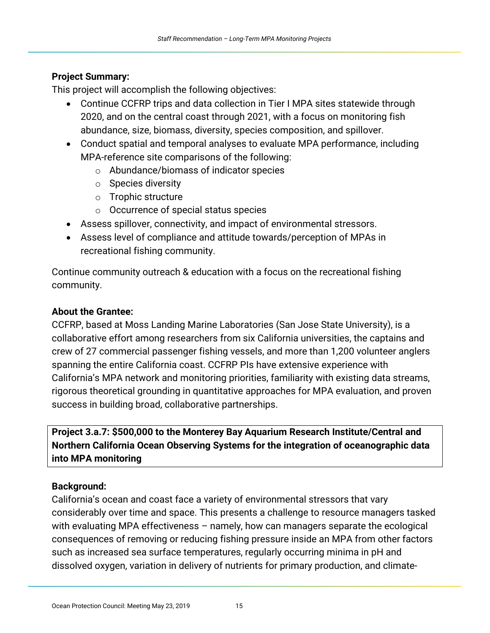#### **Project Summary:**

This project will accomplish the following objectives:

- Continue CCFRP trips and data collection in Tier I MPA sites statewide through 2020, and on the central coast through 2021, with a focus on monitoring fish abundance, size, biomass, diversity, species composition, and spillover.
- Conduct spatial and temporal analyses to evaluate MPA performance, including MPA-reference site comparisons of the following:
	- $\circ$  Abundance/biomass of indicator species
	- $\circ$  Species diversity
	- $\circ$  Trophic structure
	- $\circ$  Occurrence of special status species
- • Assess spillover, connectivity, and impact of environmental stressors.
- Assess level of compliance and attitude towards/perception of MPAs in recreational fishing community.

Continue community outreach & education with a focus on the recreational fishing community.

### **About the Grantee:**

CCFRP, based at Moss Landing Marine Laboratories (San Jose State University), is a collaborative effort among researchers from six California universities, the captains and crew of 27 commercial passenger fishing vessels, and more than 1,200 volunteer anglers spanning the entire California coast. CCFRP PIs have extensive experience with California's MPA network and monitoring priorities, familiarity with existing data streams, rigorous theoretical grounding in quantitative approaches for MPA evaluation, and proven success in building broad, collaborative partnerships.

**Project 3.a.7: \$500,000 to the Monterey Bay Aquarium Research Institute/Central and Northern California Ocean Observing Systems for the integration of oceanographic data into MPA monitoring** 

#### **Background:**

California's ocean and coast face a variety of environmental stressors that vary considerably over time and space. This presents a challenge to resource managers tasked with evaluating MPA effectiveness – namely, how can managers separate the ecological consequences of removing or reducing fishing pressure inside an MPA from other factors such as increased sea surface temperatures, regularly occurring minima in pH and dissolved oxygen, variation in delivery of nutrients for primary production, and climate-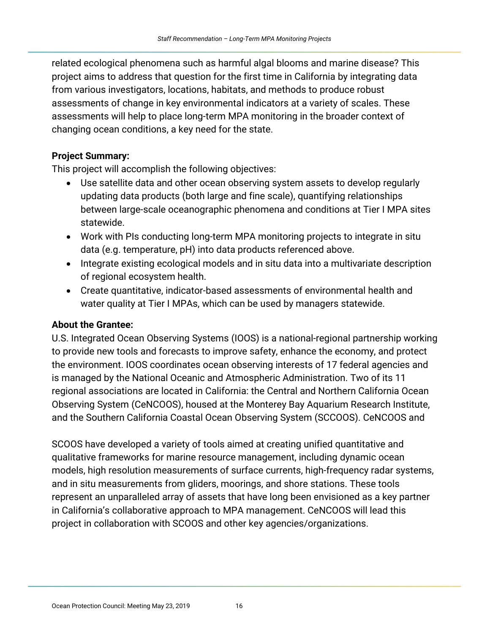project aims to address that question for the first time in California by integrating data related ecological phenomena such as harmful algal blooms and marine disease? This from various investigators, locations, habitats, and methods to produce robust assessments of change in key environmental indicators at a variety of scales. These assessments will help to place long-term MPA monitoring in the broader context of changing ocean conditions, a key need for the state.

#### **Project Summary:**

This project will accomplish the following objectives:

- Use satellite data and other ocean observing system assets to develop regularly updating data products (both large and fine scale), quantifying relationships between large-scale oceanographic phenomena and conditions at Tier I MPA sites statewide.
- Work with PIs conducting long-term MPA monitoring projects to integrate in situ data (e.g. temperature, pH) into data products referenced above.
- Integrate existing ecological models and in situ data into a multivariate description of regional ecosystem health.
- Create quantitative, indicator-based assessments of environmental health and water quality at Tier I MPAs, which can be used by managers statewide.

#### **About the Grantee:**

U.S. Integrated Ocean Observing Systems (IOOS) is a national-regional partnership working to provide new tools and forecasts to improve safety, enhance the economy, and protect the environment. IOOS coordinates ocean observing interests of 17 federal agencies and is managed by the National Oceanic and Atmospheric Administration. Two of its 11 regional associations are located in California: the Central and Northern California Ocean Observing System (CeNCOOS), housed at the Monterey Bay Aquarium Research Institute, and the Southern California Coastal Ocean Observing System (SCCOOS). CeNCOOS and

 represent an unparalleled array of assets that have long been envisioned as a key partner SCOOS have developed a variety of tools aimed at creating unified quantitative and qualitative frameworks for marine resource management, including dynamic ocean models, high resolution measurements of surface currents, high-frequency radar systems, and in situ measurements from gliders, moorings, and shore stations. These tools in California's collaborative approach to MPA management. CeNCOOS will lead this project in collaboration with SCOOS and other key agencies/organizations.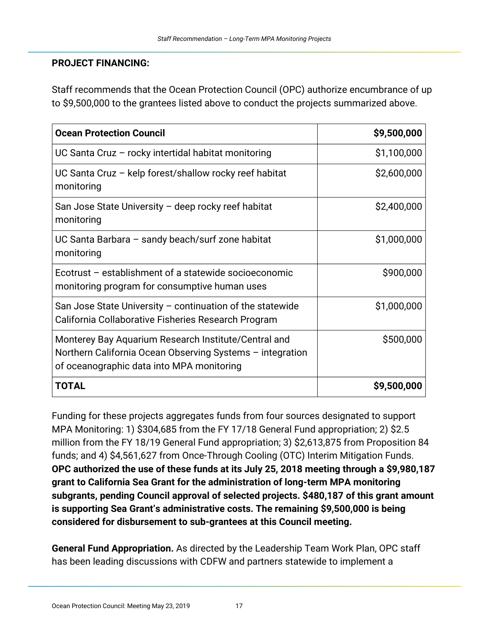#### **PROJECT FINANCING:**

 to \$9,500,000 to the grantees listed above to conduct the projects summarized above. Staff recommends that the Ocean Protection Council (OPC) authorize encumbrance of up

| <b>Ocean Protection Council</b>                                                                                                                                | \$9,500,000 |
|----------------------------------------------------------------------------------------------------------------------------------------------------------------|-------------|
| UC Santa Cruz - rocky intertidal habitat monitoring                                                                                                            | \$1,100,000 |
| UC Santa Cruz - kelp forest/shallow rocky reef habitat<br>monitoring                                                                                           | \$2,600,000 |
| San Jose State University – deep rocky reef habitat<br>monitoring                                                                                              | \$2,400,000 |
| UC Santa Barbara - sandy beach/surf zone habitat<br>monitoring                                                                                                 | \$1,000,000 |
| Ecotrust - establishment of a statewide socioeconomic<br>monitoring program for consumptive human uses                                                         | \$900,000   |
| San Jose State University - continuation of the statewide<br>California Collaborative Fisheries Research Program                                               | \$1,000,000 |
| Monterey Bay Aquarium Research Institute/Central and<br>Northern California Ocean Observing Systems - integration<br>of oceanographic data into MPA monitoring | \$500,000   |
| <b>TOTAL</b>                                                                                                                                                   | \$9,500,000 |

Funding for these projects aggregates funds from four sources designated to support MPA Monitoring: 1) \$304,685 from the FY 17/18 General Fund appropriation; 2) \$2.5 million from the FY 18/19 General Fund appropriation; 3) \$2,613,875 from Proposition 84 funds; and 4) \$4,561,627 from Once-Through Cooling (OTC) Interim Mitigation Funds. **OPC authorized the use of these funds at its July 25, 2018 meeting through a \$9,980,187 grant to California Sea Grant for the administration of long-term MPA monitoring subgrants, pending Council approval of selected projects. \$480,187 of this grant amount is supporting Sea Grant's administrative costs. The remaining \$9,500,000 is being considered for disbursement to sub-grantees at this Council meeting.** 

**General Fund Appropriation.** As directed by the Leadership Team Work Plan, OPC staff has been leading discussions with CDFW and partners statewide to implement a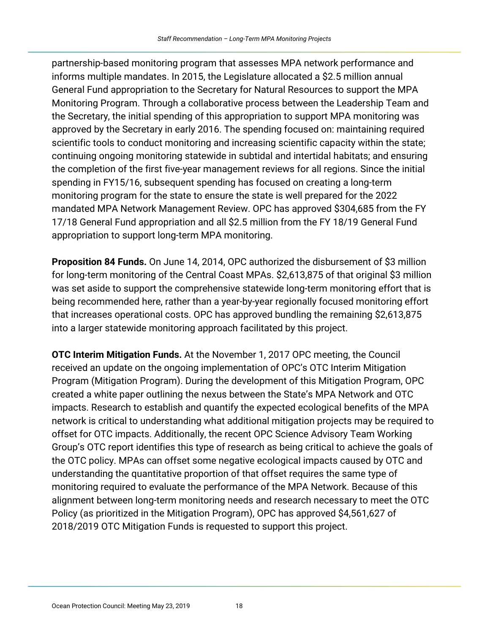partnership-based monitoring program that assesses MPA network performance and informs multiple mandates. In 2015, the Legislature allocated a \$2.5 million annual General Fund appropriation to the Secretary for Natural Resources to support the MPA Monitoring Program. Through a collaborative process between the Leadership Team and the Secretary, the initial spending of this appropriation to support MPA monitoring was approved by the Secretary in early 2016. The spending focused on: maintaining required scientific tools to conduct monitoring and increasing scientific capacity within the state; continuing ongoing monitoring statewide in subtidal and intertidal habitats; and ensuring the completion of the first five-year management reviews for all regions. Since the initial spending in FY15/16, subsequent spending has focused on creating a long-term monitoring program for the state to ensure the state is well prepared for the 2022 mandated MPA Network Management Review. OPC has approved \$304,685 from the FY 17/18 General Fund appropriation and all \$2.5 million from the FY 18/19 General Fund appropriation to support long-term MPA monitoring.

 **Proposition 84 Funds.** On June 14, 2014, OPC authorized the disbursement of \$3 million for long-term monitoring of the Central Coast MPAs. \$2,613,875 of that original \$3 million was set aside to support the comprehensive statewide long-term monitoring effort that is being recommended here, rather than a year-by-year regionally focused monitoring effort that increases operational costs. OPC has approved bundling the remaining \$2,613,875 into a larger statewide monitoring approach facilitated by this project.

 monitoring required to evaluate the performance of the MPA Network. Because of this **OTC Interim Mitigation Funds.** At the November 1, 2017 OPC meeting, the Council received an update on the ongoing implementation of OPC's OTC Interim Mitigation Program (Mitigation Program). During the development of this Mitigation Program, OPC created a white paper outlining the nexus between the State's MPA Network and OTC impacts. Research to establish and quantify the expected ecological benefits of the MPA network is critical to understanding what additional mitigation projects may be required to offset for OTC impacts. Additionally, the recent OPC Science Advisory Team Working Group's OTC report identifies this type of research as being critical to achieve the goals of the OTC policy. MPAs can offset some negative ecological impacts caused by OTC and understanding the quantitative proportion of that offset requires the same type of alignment between long-term monitoring needs and research necessary to meet the OTC Policy (as prioritized in the Mitigation Program), OPC has approved \$4,561,627 of 2018/2019 OTC Mitigation Funds is requested to support this project.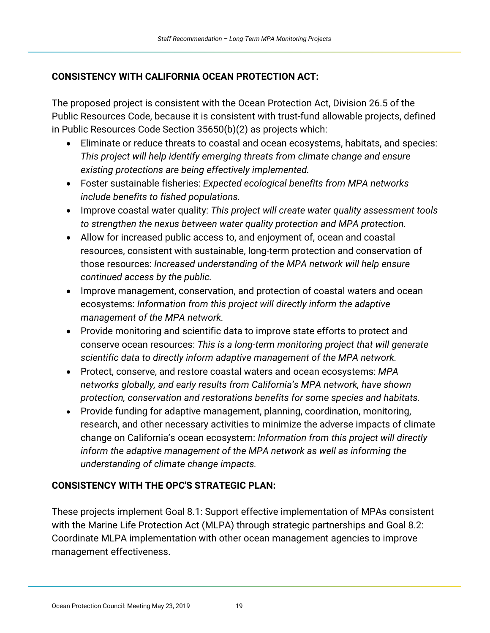### **CONSISTENCY WITH CALIFORNIA OCEAN PROTECTION ACT:**

The proposed project is consistent with the Ocean Protection Act, Division 26.5 of the Public Resources Code, because it is consistent with trust-fund allowable projects, defined in Public Resources Code Section 35650(b)(2) as projects which:

- Eliminate or reduce threats to coastal and ocean ecosystems, habitats, and species: *This project will help identify emerging threats from climate change and ensure existing protections are being effectively implemented.*
- • Foster sustainable fisheries: *Expected ecological benefits from MPA networks include benefits to fished populations.*
- • Improve coastal water quality: *This project will create water quality assessment tools to strengthen the nexus between water quality protection and MPA protection.*
- Allow for increased public access to, and enjoyment of, ocean and coastal resources, consistent with sustainable, long-term protection and conservation of those resources: *Increased understanding of the MPA network will help ensure continued access by the public.*
- Improve management, conservation, and protection of coastal waters and ocean ecosystems: *Information from this project will directly inform the adaptive management of the MPA network.*
- Provide monitoring and scientific data to improve state efforts to protect and conserve ocean resources: *This is a long-term monitoring project that will generate scientific data to directly inform adaptive management of the MPA network.*
- • Protect, conserve, and restore coastal waters and ocean ecosystems: *MPA networks globally, and early results from California's MPA network, have shown protection, conservation and restorations benefits for some species and habitats.*
- Provide funding for adaptive management, planning, coordination, monitoring, research, and other necessary activities to minimize the adverse impacts of climate change on California's ocean ecosystem: *Information from this project will directly inform the adaptive management of the MPA network as well as informing the understanding of climate change impacts.*

### **CONSISTENCY WITH THE OPC'S STRATEGIC PLAN:**

These projects implement Goal 8.1: Support effective implementation of MPAs consistent with the Marine Life Protection Act (MLPA) through strategic partnerships and Goal 8.2: Coordinate MLPA implementation with other ocean management agencies to improve management effectiveness.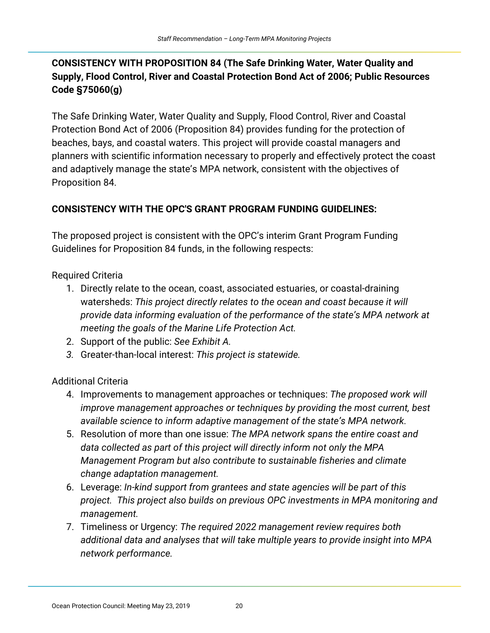# **CONSISTENCY WITH PROPOSITION 84 (The Safe Drinking Water, Water Quality and Supply, Flood Control, River and Coastal Protection Bond Act of 2006; Public Resources Code §75060(g)**

The Safe Drinking Water, Water Quality and Supply, Flood Control, River and Coastal Protection Bond Act of 2006 (Proposition 84) provides funding for the protection of beaches, bays, and coastal waters. This project will provide coastal managers and planners with scientific information necessary to properly and effectively protect the coast and adaptively manage the state's MPA network, consistent with the objectives of Proposition 84.

### **CONSISTENCY WITH THE OPC'S GRANT PROGRAM FUNDING GUIDELINES:**

The proposed project is consistent with the OPC's interim Grant Program Funding Guidelines for Proposition 84 funds, in the following respects:

Required Criteria

- 1. Directly relate to the ocean, coast, associated estuaries, or coastal-draining watersheds: *This project directly relates to the ocean and coast because it will provide data informing evaluation of the performance of the state's MPA network at meeting the goals of the Marine Life Protection Act.*
- 2. Support of the public: *See Exhibit A.*
- *3.* Greater-than-local interest: *This project is statewide.*

# Additional Criteria

- 4. Improvements to management approaches or techniques: *The proposed work will improve management approaches or techniques by providing the most current, best available science to inform adaptive management of the state's MPA network.*
- 5. Resolution of more than one issue: *The MPA network spans the entire coast and data collected as part of this project will directly inform not only the MPA Management Program but also contribute to sustainable fisheries and climate change adaptation management.*
- 6. Leverage: *In-kind support from grantees and state agencies will be part of this project. This project also builds on previous OPC investments in MPA monitoring and management.*
- 7. Timeliness or Urgency: *The required 2022 management review requires both additional data and analyses that will take multiple years to provide insight into MPA network performance.*